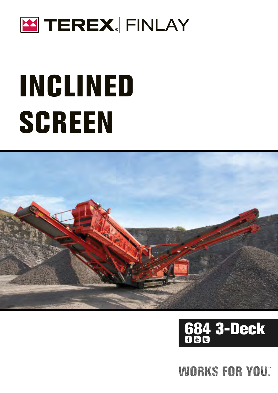

# INCLINED **SCREEN**



# 684 3-Deck

## WORKS FOR YOU: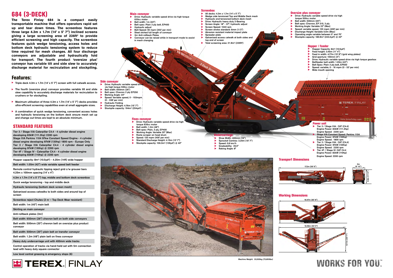### 684 (3-DECK)

**The Terex Finlay 684 is a compact easily transportable machine that offers operators rapid set up and tear down times. The screenbox features three large 4.3m x 1.7m (14' x 5' 7") inclined screens**  giving a large screening area of 236ft<sup>2</sup> to provide **efficient screening and high capacity. The screenbox features quick wedge tensioning, access holes and bottom deck hydraulic tensioning system to reduce time required for mesh changes. All four discharge conveyors are adjustable and hydraulically fold for transport. The fourth product 'oversize plus' conveyor has variable tilt and side slew to accurately discharge material for recirculation and stockpiling.** 

- Triple deck 4.3m x 1.7m  $(14 \times 5' 7'')$  screen with full catwalk access.
- ▶ The fourth (oversize plus) conveyor provides variable tilt and slide slew capability to accurately discharge materials for recirculation to crushers or for stockpiling.
- $\blacktriangleright$  Maximum utilisation of three 4.3m x 1.7m (14' x 5' 7") decks provides ultra-efficient screening capabilities even at small aggregate sizes.
- $\blacktriangleright$  A combination of quick wedge tensioning, convenient access holes and hydraulic tensioning on the bottom deck ensure mesh set up and change out times are kept to an absolute minimum.
- **EXTE OCHOOS** 630cc motor
- Belt width: 1m (40") Belt spec: Plain 3 ply belt, EP400
- Hydraulic adjust
- u Belt Speed: 92 mpm (302' per min)
- Steel skirted full length of conveyor
- 3nr Anti-rollback Plates
- u Conveyor can be raised while in transport mode to assist in mesh changing

Drive: Hydraulic variable speed drive via high torque 500cc motor

- Belt width: 500mm (20") Belt spec: Chevron, EP 315, 3 ply
- Working Angle: Variable 22° (Max)
- Speed: variable speed, 120 mpm (400' per min)
- Discharge Height: Variable 5.0m (Max)
- u Operating angle variable between 0º and 70º Stockpile capacity: 185.9m<sup>3</sup> (243.2yd<sup>3</sup>) @ 40°
	-



### Features:





16.98m (55' 9") 6.11m (20' 1")

## WORKS FOR YOU.

#### Working Dimensions

#### Main conveyor





- ▶ All decks:  $4.3m \times 1.7m (14' \times 5' 7")$
- Wedge side tensioned Top and Middle Deck mesh
- Hydraulic end tensioned bottom deck mesh
- Drive: Hydraulic heavy duty 2-Bearing Screen Angle: 18° - 37°, hydraulic adjust
- Screen Speed: 1040 rpm
- Screen stroke standard: 6mm (1/2")
- Abrasion resistant material impact plate
- Spreader plate
- u Galvanised access catwalk at both sides and top end of screen
- $\blacktriangleright$  Total screening area: 21.9m<sup>2</sup> (235ft<sup>2</sup>)

#### Oversize plus conveyor

#### Hopper / Feeder

- Hopper Capacity: 8m<sup>3</sup> (10.5yd<sup>3</sup>)
- Feed height: 3.45m (11' 4")
- Feed in width: 4.77m (15' 8") (grid wing plates) Grid aperture: 100mm (4")
- u Drive: Hydraulic variable speed drive via high torque gearbox
- Beltfeeder belt width: 1.05m (42")
- Belt Spec: Plain 3 ply belt, EP500
- Speed: variable, 0 16 mpm (0 53' per min)
- Wide mouth opening

#### Fines conveyor

- $\blacktriangleright$  Drive: Hydraulic variable speed drive via
- torque 630cc motor
- Working Angle: Variable 25° (Max)
- Rosta scraper on head drum
- Speed: 120 mpm (400' per min)
- ▶ Standard Discharge Height: 4.15m (13' 7")
- 
- Shoe Width: 400mm (16") **Undercarriage**
- Sprocket Centres: 3.24m (10' 7")
- 
- Gradeability: 25.5°

#### Side conveyor

- Drive: Hydraulic variable speed via high torque 500cc motor
- Belt width: 650mm (26")
- Belt spec: Chevron 2 ply EP250 Working Angle: 24°
- Speed: Variable speed, 0 103mp
- (0 338' per min)
- u Hydraulic Folding
- Discharge Height: 4.76m (15' 7") Stockpile capacity: 194m<sup>3</sup> (254yd<sup>3</sup>)

#### STANDARD FEATURES

Tier 3 / Stage IIIA Caterpillar C4.4 - 4 cylinder diesel engine developing 83kW (111.3hp) 2200 rpm Stage IIIA Perkins 1104 97kw Constant Speed Engine - 4 cylinder diesel engine developing 97kW (130hp) 1800 rpm - Europe Only

Tier 3 / Stage IIIA Caterpillar C4.4 - 4 cylinder diesel engine developing 97kW (130hp) @ 2200 rpm Tier 4F / Stage IV - Caterpillar C4.4 - 4 cylinder diesel engine

developing 82kW (110hp) @ 2200 rpm

Hopper capacity: 8m<sup>3</sup> (10.5yd<sup>3</sup>) - 4.25m (14ft) wide hopper

Belt width: 1.05m (42") wide variable speed belt feeder

Remote control hydraulic tipping reject grid c/w grouser bars 4.25m x 100mm spacing (14' x 4")

4.3m x 1.7m (14' x 5' 7") top, middle and bottom deck screenbox

Quick wedge tensioning - top and middle deck

Hydraulic tensioning (bottom deck screen mesh)

Galvanised access catwalks to both sides and around top of screen

Screenbox reject Chutes (2 nr – Top Deck Wear resistant)

Belt width: 1m (40") main belt

Skirting on main conveyor

Anti-rollback plates (3nr)

Belt width: 650mm (26") chevron belt on both side conveyors

Belt width: 500mm (20") chevron belt on oversize plus product conveyor

Belt width: 500mm (20") plain belt on transfer conveyor

Belt width: 1.2m (48") plain belt on fines conveyor

Heavy duty undercarriage unit with 400mm wide tracks

Control operation of tracks via hand-held set with 5m connection lead with heavy duty square connector

Low level central greasing & emergency stops (6)



Machine Weight: 33,500kg (73,855lbs)

Belt width: 1.2m (48") Belt spec: Plain, 3 ply, EP400

- -
	- Stockpile capacity:  $106.3m^3$  (139yd<sup>3</sup>) @ 40°
- 
- Speed: 0.8 km/h
- Raking Angle: 8°